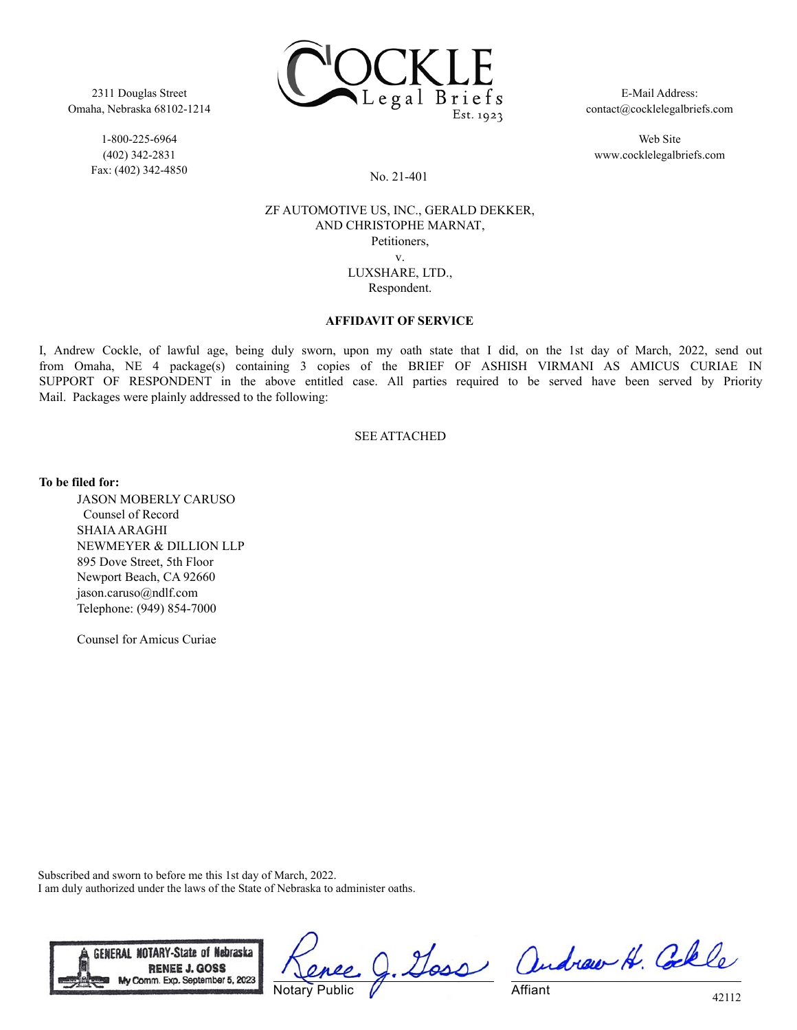

2311 Douglas Street Omaha, Nebraska 68102-1214

> 1-800-225-6964 (402) 342-2831 Fax: (402) 342-4850

E-Mail Address: contact@cocklelegalbriefs.com

Web Site www.cocklelegalbriefs.com

No. 21-401

### ZF AUTOMOTIVE US, INC., GERALD DEKKER, AND CHRISTOPHE MARNAT, Petitioners, v. LUXSHARE, LTD., Respondent.

### **AFFIDAVIT OF SERVICE**

I, Andrew Cockle, of lawful age, being duly sworn, upon my oath state that I did, on the 1st day of March, 2022, send out from Omaha, NE 4 package(s) containing 3 copies of the BRIEF OF ASHISH VIRMANI AS AMICUS CURIAE IN SUPPORT OF RESPONDENT in the above entitled case. All parties required to be served have been served by Priority Mail. Packages were plainly addressed to the following:

### SEE ATTACHED

**To be filed for:**

JASON MOBERLY CARUSO Counsel of Record SHAIA ARAGHI NEWMEYER & DILLION LLP 895 Dove Street, 5th Floor Newport Beach, CA 92660 jason.caruso@ndlf.com Telephone: (949) 854-7000

Counsel for Amicus Curiae

Subscribed and sworn to before me this 1st day of March, 2022. I am duly authorized under the laws of the State of Nebraska to administer oaths.



Doss Notary Public

andrew H. Colle